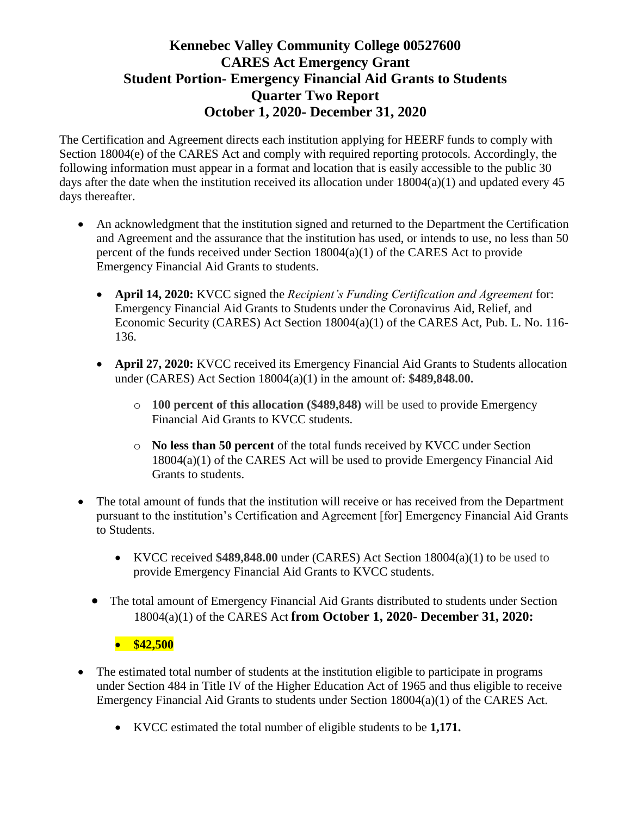The Certification and Agreement directs each institution applying for HEERF funds to comply with Section 18004(e) of the CARES Act and comply with required reporting protocols. Accordingly, the following information must appear in a format and location that is easily accessible to the public 30 days after the date when the institution received its allocation under  $18004(a)(1)$  and updated every 45 days thereafter.

- An acknowledgment that the institution signed and returned to the Department the Certification and Agreement and the assurance that the institution has used, or intends to use, no less than 50 percent of the funds received under Section 18004(a)(1) of the CARES Act to provide Emergency Financial Aid Grants to students.
	- **April 14, 2020:** KVCC signed the *Recipient's Funding Certification and Agreement* for: Emergency Financial Aid Grants to Students under the Coronavirus Aid, Relief, and Economic Security (CARES) Act Section 18004(a)(1) of the CARES Act, Pub. L. No. 116- 136.
	- **April 27, 2020:** KVCC received its Emergency Financial Aid Grants to Students allocation under (CARES) Act Section 18004(a)(1) in the amount of: **\$489,848.00.** 
		- o **100 percent of this allocation (\$489,848)** will be used to provide Emergency Financial Aid Grants to KVCC students.
		- o **No less than 50 percent** of the total funds received by KVCC under Section 18004(a)(1) of the CARES Act will be used to provide Emergency Financial Aid Grants to students.
- The total amount of funds that the institution will receive or has received from the Department pursuant to the institution's Certification and Agreement [for] Emergency Financial Aid Grants to Students.
	- KVCC received **\$489,848.00** under (CARES) Act Section 18004(a)(1) to be used to provide Emergency Financial Aid Grants to KVCC students.
	- The total amount of Emergency Financial Aid Grants distributed to students under Section 18004(a)(1) of the CARES Act **from October 1, 2020- December 31, 2020:**

#### **\$42,500**

- The estimated total number of students at the institution eligible to participate in programs under Section 484 in Title IV of the Higher Education Act of 1965 and thus eligible to receive Emergency Financial Aid Grants to students under Section 18004(a)(1) of the CARES Act.
	- KVCC estimated the total number of eligible students to be **1,171.**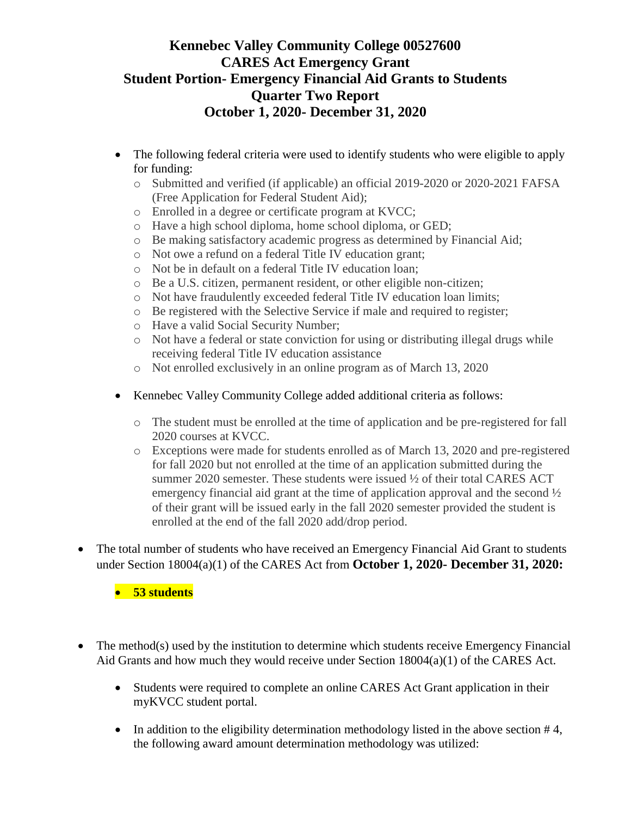- The following federal criteria were used to identify students who were eligible to apply for funding:
	- o Submitted and verified (if applicable) an official 2019-2020 or 2020-2021 FAFSA (Free Application for Federal Student Aid);
	- o Enrolled in a degree or certificate program at KVCC;
	- o Have a high school diploma, home school diploma, or GED;
	- o Be making satisfactory academic progress as determined by Financial Aid;
	- o Not owe a refund on a federal Title IV education grant;
	- o Not be in default on a federal Title IV education loan;
	- o Be a U.S. citizen, permanent resident, or other eligible non-citizen;
	- o Not have fraudulently exceeded federal Title IV education loan limits;
	- o Be registered with the Selective Service if male and required to register;
	- o Have a valid Social Security Number;
	- o Not have a federal or state conviction for using or distributing illegal drugs while receiving federal Title IV education assistance
	- o Not enrolled exclusively in an online program as of March 13, 2020
- Kennebec Valley Community College added additional criteria as follows:
	- o The student must be enrolled at the time of application and be pre-registered for fall 2020 courses at KVCC.
	- o Exceptions were made for students enrolled as of March 13, 2020 and pre-registered for fall 2020 but not enrolled at the time of an application submitted during the summer 2020 semester. These students were issued ½ of their total CARES ACT emergency financial aid grant at the time of application approval and the second ½ of their grant will be issued early in the fall 2020 semester provided the student is enrolled at the end of the fall 2020 add/drop period.
- The total number of students who have received an Emergency Financial Aid Grant to students under Section 18004(a)(1) of the CARES Act from **October 1, 2020- December 31, 2020:**

**53 students**

- The method(s) used by the institution to determine which students receive Emergency Financial Aid Grants and how much they would receive under Section 18004(a)(1) of the CARES Act.
	- Students were required to complete an online CARES Act Grant application in their myKVCC student portal.
	- In addition to the eligibility determination methodology listed in the above section  $#4$ , the following award amount determination methodology was utilized: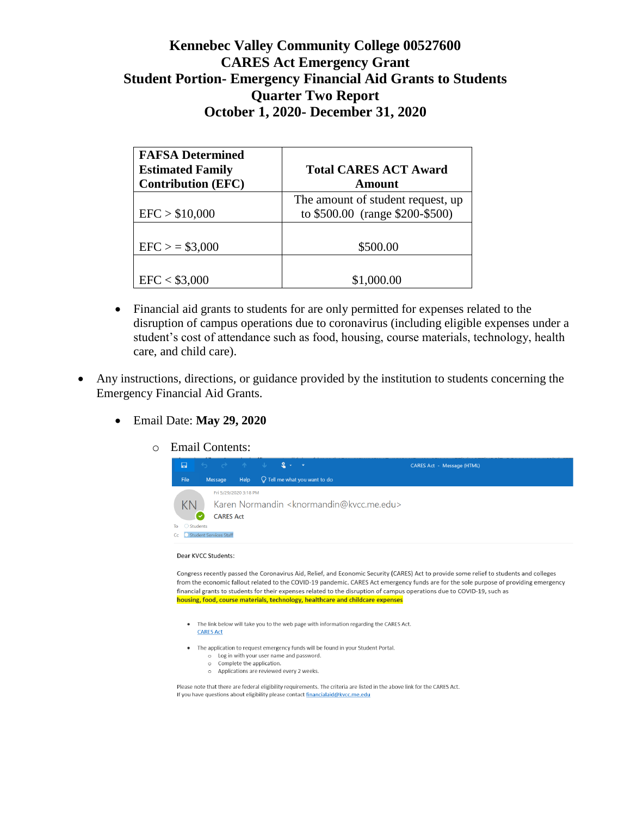| <b>FAFSA Determined</b><br><b>Estimated Family</b><br><b>Contribution (EFC)</b> | <b>Total CARES ACT Award</b><br>Amount                               |
|---------------------------------------------------------------------------------|----------------------------------------------------------------------|
| EFC > \$10,000                                                                  | The amount of student request, up<br>to \$500.00 (range \$200-\$500) |
| $EFC$ > = \$3,000                                                               | \$500.00                                                             |
| EFC < \$3,000                                                                   | \$1,000.00                                                           |

- Financial aid grants to students for are only permitted for expenses related to the disruption of campus operations due to coronavirus (including eligible expenses under a student's cost of attendance such as food, housing, course materials, technology, health care, and child care).
- Any instructions, directions, or guidance provided by the institution to students concerning the Emergency Financial Aid Grants.
	- Email Date: **May 29, 2020**
		- o Email Contents:



#### Dear KVCC Students:

Congress recently passed the Coronavirus Aid, Relief, and Economic Security (CARES) Act to provide some relief to students and colleges from the economic fallout related to the COVID-19 pandemic. CARES Act emergency funds are for the sole purpose of providing emergency financial grants to students for their expenses related to the disruption of campus operations due to COVID-19, such as housing, food, course materials, technology, healthcare and childcare expenses

• The link below will take you to the web page with information regarding the CARES Act. **CARES Act** 

• The application to request emergency funds will be found in your Student Portal.

- o Log in with your user name and password. o Complete the application.
- o Applications are reviewed every 2 weeks.

Please note that there are federal eligibility requirements. The criteria are listed in the above link for the CARES Act. If you have questions about eligibility please contact financialaid@kvcc.me.edu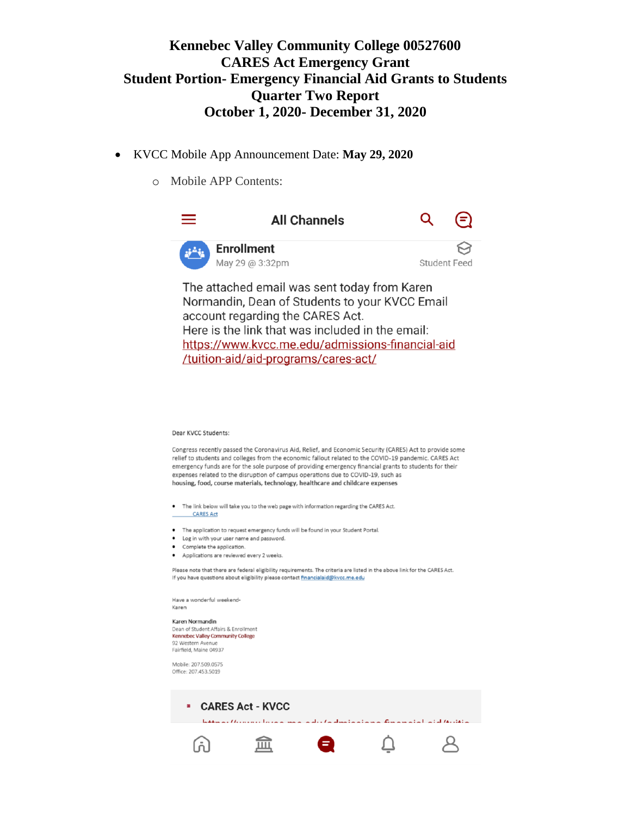- KVCC Mobile App Announcement Date: **May 29, 2020**
	- o Mobile APP Contents:



#### Dear KVCC Students:

Congress recently passed the Coronavirus Aid, Relief, and Economic Security (CARES) Act to provide some relief to students and colleges from the economic fallout related to the COVID-19 pandemic. CARES Act emergency funds are for the sole purpose of providing emergency financial grants to students for their expenses related to the disruption of campus operations due to COVID-19, such as housing, food, course materials, technology, healthcare and childcare expenses

- The link below will take you to the web page with information regarding the CARES Act. **CARES Act**
- The application to request emergency funds will be found in your Student Portal.
- Log in with your user name and password.
- Complete the application.
- Applications are reviewed every 2 weeks.

Please note that there are federal eligibility requirements. The criteria are listed in the above link for the CARES Act. If you have questions about eligibility please contact financialaid@kvcc.me.edu

Have a wonderful weekend-Karen

Karen Normandin Dean of Student Affairs & Enrollment Kennebec Valley Community College 92 Western Avenue Fairfield, Maine 04937

Mobile: 207.509.0575 Office: 207.453.5019

> **E** CARES Act - KVCC Internal Herman Impact from a sheet a distinct a final financial at distribution

> > $\overline{\mathsf{C}}$

 $\beta$ 

盒 ●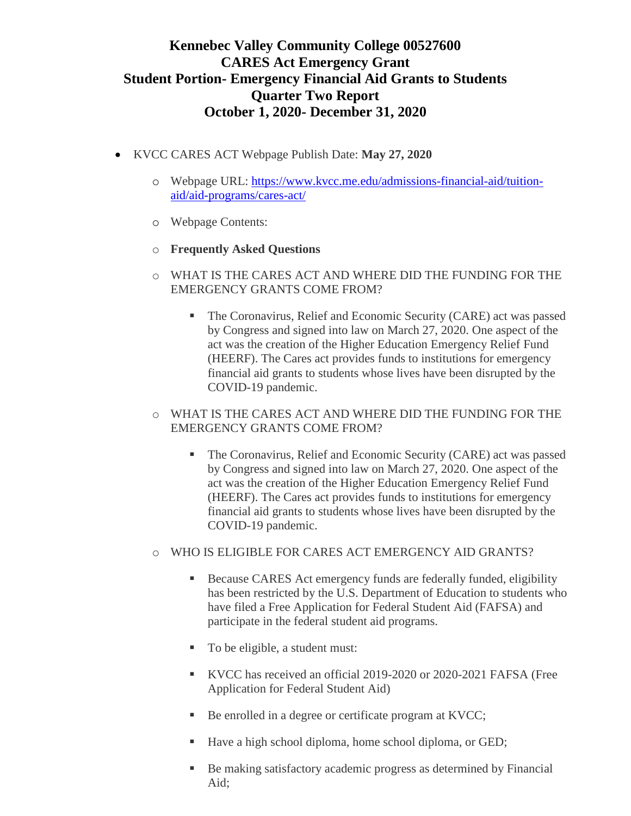- KVCC CARES ACT Webpage Publish Date: **May 27, 2020**
	- o Webpage URL: [https://www.kvcc.me.edu/admissions-financial-aid/tuition](https://www.kvcc.me.edu/admissions-financial-aid/tuition-aid/aid-programs/cares-act/)[aid/aid-programs/cares-act/](https://www.kvcc.me.edu/admissions-financial-aid/tuition-aid/aid-programs/cares-act/)
	- o Webpage Contents:
	- o **Frequently Asked Questions**
	- o WHAT IS THE CARES ACT AND WHERE DID THE FUNDING FOR THE EMERGENCY GRANTS COME FROM?
		- The Coronavirus, Relief and Economic Security (CARE) act was passed by Congress and signed into law on March 27, 2020. One aspect of the act was the creation of the Higher Education Emergency Relief Fund (HEERF). The Cares act provides funds to institutions for emergency financial aid grants to students whose lives have been disrupted by the COVID-19 pandemic.
	- o WHAT IS THE CARES ACT AND WHERE DID THE FUNDING FOR THE EMERGENCY GRANTS COME FROM?
		- The Coronavirus, Relief and Economic Security (CARE) act was passed by Congress and signed into law on March 27, 2020. One aspect of the act was the creation of the Higher Education Emergency Relief Fund (HEERF). The Cares act provides funds to institutions for emergency financial aid grants to students whose lives have been disrupted by the COVID-19 pandemic.
	- o WHO IS ELIGIBLE FOR CARES ACT EMERGENCY AID GRANTS?
		- Because CARES Act emergency funds are federally funded, eligibility has been restricted by the U.S. Department of Education to students who have filed a Free Application for Federal Student Aid (FAFSA) and participate in the federal student aid programs.
		- To be eligible, a student must:
		- KVCC has received an official 2019-2020 or 2020-2021 FAFSA (Free Application for Federal Student Aid)
		- Be enrolled in a degree or certificate program at KVCC;
		- Have a high school diploma, home school diploma, or GED;
		- Be making satisfactory academic progress as determined by Financial Aid;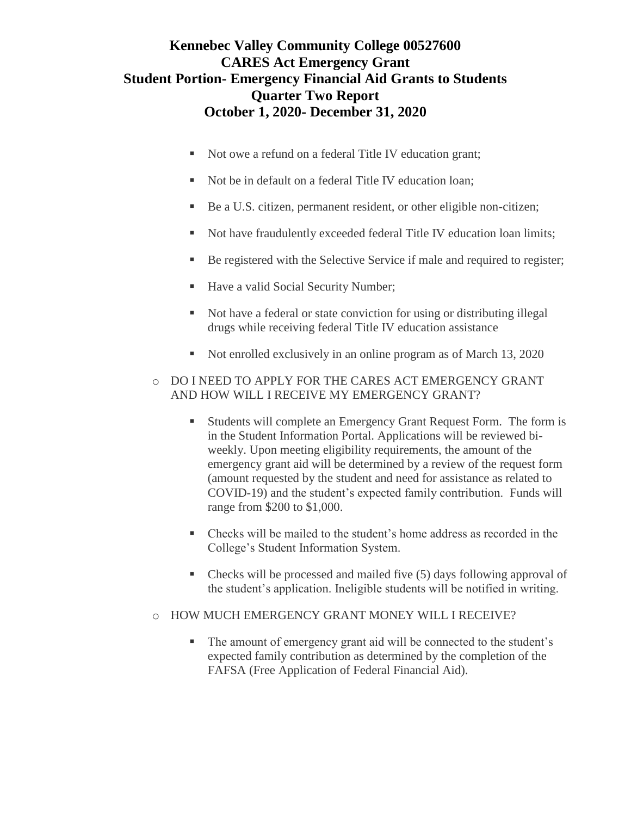- Not owe a refund on a federal Title IV education grant;
- Not be in default on a federal Title IV education loan;
- Be a U.S. citizen, permanent resident, or other eligible non-citizen;
- Not have fraudulently exceeded federal Title IV education loan limits;
- Be registered with the Selective Service if male and required to register;
- Have a valid Social Security Number;
- Not have a federal or state conviction for using or distributing illegal drugs while receiving federal Title IV education assistance
- Not enrolled exclusively in an online program as of March 13, 2020

### o DO I NEED TO APPLY FOR THE CARES ACT EMERGENCY GRANT AND HOW WILL I RECEIVE MY EMERGENCY GRANT?

- Students will complete an Emergency Grant Request Form. The form is in the [Student Information Portal.](http://my.kvcc.me.edu/) Applications will be reviewed biweekly. Upon meeting eligibility requirements, the amount of the emergency grant aid will be determined by a review of the request form (amount requested by the student and need for assistance as related to COVID-19) and the student's expected family contribution. Funds will range from \$200 to \$1,000.
- Checks will be mailed to the student's home address as recorded in the College's Student Information System.
- Checks will be processed and mailed five (5) days following approval of the student's application. Ineligible students will be notified in writing.
- o HOW MUCH EMERGENCY GRANT MONEY WILL I RECEIVE?
	- The amount of emergency grant aid will be connected to the student's expected family contribution as determined by the completion of the FAFSA (Free Application of Federal Financial Aid).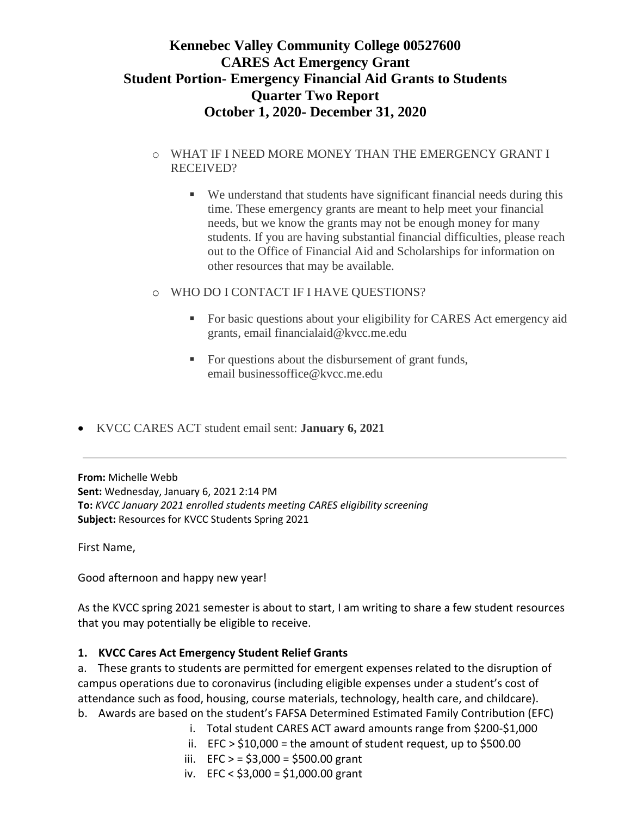### o WHAT IF I NEED MORE MONEY THAN THE EMERGENCY GRANT I RECEIVED?

- We understand that students have significant financial needs during this time. These emergency grants are meant to help meet your financial needs, but we know the grants may not be enough money for many students. If you are having substantial financial difficulties, please reach out to the Office of Financial Aid and Scholarships for information on other resources that may be available.
- o WHO DO I CONTACT IF I HAVE QUESTIONS?
	- For basic questions about your eligibility for CARES Act emergency aid grants, email [financialaid@kvcc.me.edu](mailto:financialaid@kvcc.me.edu)
	- For questions about the disbursement of grant funds, email [businessoffice@kvcc.me.edu](mailto:businessoffice@kvcc.me.edu)
- KVCC CARES ACT student email sent: **January 6, 2021**

**From:** Michelle Webb **Sent:** Wednesday, January 6, 2021 2:14 PM **To:** *KVCC January 2021 enrolled students meeting CARES eligibility screening* **Subject:** Resources for KVCC Students Spring 2021

First Name,

Good afternoon and happy new year!

As the KVCC spring 2021 semester is about to start, I am writing to share a few student resources that you may potentially be eligible to receive.

## **1. KVCC Cares Act Emergency Student Relief Grants**

a. These grants to students are permitted for emergent expenses related to the disruption of campus operations due to coronavirus (including eligible expenses under a student's cost of attendance such as food, housing, course materials, technology, health care, and childcare). b. Awards are based on the student's FAFSA Determined Estimated Family Contribution (EFC)

- i. Total student CARES ACT award amounts range from \$200-\$1,000
- ii.  $EFC > $10,000 =$  the amount of student request, up to \$500.00
- iii. EFC  $> = $3,000 = $500.00$  grant
- iv. EFC < \$3,000 = \$1,000.00 grant